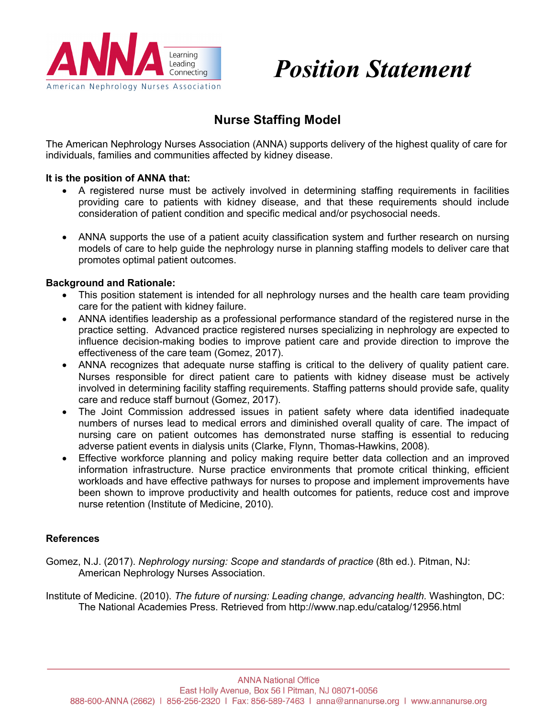

*Position Statement*

## **Nurse Staffing Model**

The American Nephrology Nurses Association (ANNA) supports delivery of the highest quality of care for individuals, families and communities affected by kidney disease.

## **It is the position of ANNA that:**

- A registered nurse must be actively involved in determining staffing requirements in facilities providing care to patients with kidney disease, and that these requirements should include consideration of patient condition and specific medical and/or psychosocial needs.
- ANNA supports the use of a patient acuity classification system and further research on nursing models of care to help guide the nephrology nurse in planning staffing models to deliver care that promotes optimal patient outcomes.

## **Background and Rationale:**

- This position statement is intended for all nephrology nurses and the health care team providing care for the patient with kidney failure.
- ANNA identifies leadership as a professional performance standard of the registered nurse in the practice setting. Advanced practice registered nurses specializing in nephrology are expected to influence decision-making bodies to improve patient care and provide direction to improve the effectiveness of the care team (Gomez, 2017).
- ANNA recognizes that adequate nurse staffing is critical to the delivery of quality patient care. Nurses responsible for direct patient care to patients with kidney disease must be actively involved in determining facility staffing requirements. Staffing patterns should provide safe, quality care and reduce staff burnout (Gomez, 2017).
- The Joint Commission addressed issues in patient safety where data identified inadequate numbers of nurses lead to medical errors and diminished overall quality of care. The impact of nursing care on patient outcomes has demonstrated nurse staffing is essential to reducing adverse patient events in dialysis units (Clarke, Flynn, Thomas-Hawkins, 2008).
- Effective workforce planning and policy making require better data collection and an improved information infrastructure. Nurse practice environments that promote critical thinking, efficient workloads and have effective pathways for nurses to propose and implement improvements have been shown to improve productivity and health outcomes for patients, reduce cost and improve nurse retention (Institute of Medicine, 2010).

## **References**

Gomez, N.J. (2017). *Nephrology nursing: Scope and standards of practice* (8th ed.). Pitman, NJ: American Nephrology Nurses Association.

Institute of Medicine. (2010). *The future of nursing: Leading change, advancing health.* Washington, DC: The National Academies Press. Retrieved from http://www.nap.edu/catalog/12956.html